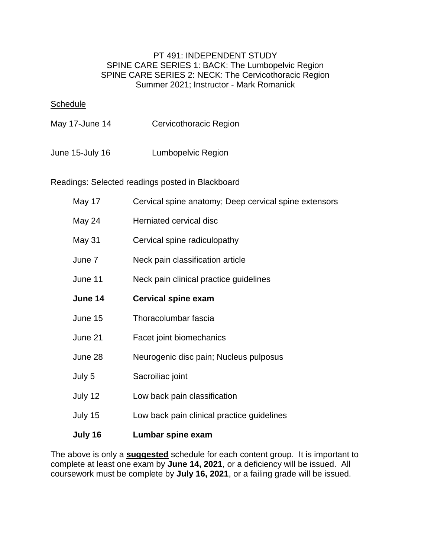## PT 491: INDEPENDENT STUDY SPINE CARE SERIES 1: BACK: The Lumbopelvic Region SPINE CARE SERIES 2: NECK: The Cervicothoracic Region Summer 2021; Instructor - Mark Romanick

## **Schedule**

June 15-July 16 Lumbopelvic Region

Readings: Selected readings posted in Blackboard

| May 17  | Cervical spine anatomy; Deep cervical spine extensors |
|---------|-------------------------------------------------------|
| May 24  | Herniated cervical disc                               |
| May 31  | Cervical spine radiculopathy                          |
| June 7  | Neck pain classification article                      |
| June 11 | Neck pain clinical practice guidelines                |
| June 14 | <b>Cervical spine exam</b>                            |
| June 15 | Thoracolumbar fascia                                  |
| June 21 | Facet joint biomechanics                              |
| June 28 | Neurogenic disc pain; Nucleus pulposus                |
| July 5  | Sacroiliac joint                                      |
| July 12 | Low back pain classification                          |
| July 15 | Low back pain clinical practice guidelines            |
| July 16 | Lumbar spine exam                                     |

The above is only a **suggested** schedule for each content group. It is important to complete at least one exam by **June 14, 2021**, or a deficiency will be issued. All coursework must be complete by **July 16, 2021**, or a failing grade will be issued.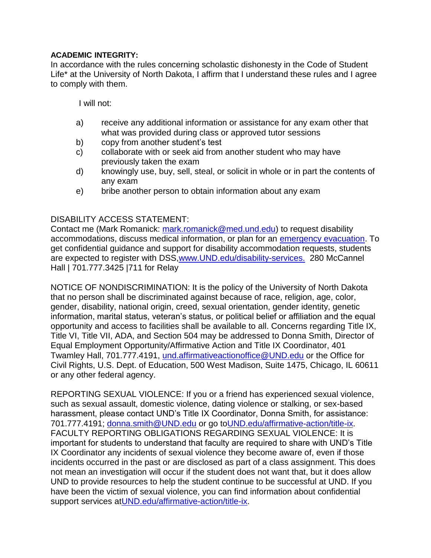## **ACADEMIC INTEGRITY:**

In accordance with the rules concerning scholastic dishonesty in the Code of Student Life\* at the University of North Dakota, I affirm that I understand these rules and I agree to comply with them.

I will not:

- a) receive any additional information or assistance for any exam other that what was provided during class or approved tutor sessions
- b) copy from another student's test
- c) collaborate with or seek aid from another student who may have previously taken the exam
- d) knowingly use, buy, sell, steal, or solicit in whole or in part the contents of any exam
- e) bribe another person to obtain information about any exam

## DISABILITY ACCESS STATEMENT:

Contact me (Mark Romanick: [mark.romanick@med.und.edu\)](mailto:mark.romanick@med.und.edu) to request disability accommodations, discuss medical information, or plan for an [emergency evacuation.](http://www1.und.edu/public-safety/public-safety/fire-safety.cfm) To get confidential guidance and support for disability accommodation requests, students are expected to register with DSS[,www.UND.edu/disability-services.](http://www.und.edu/disability-services/) 280 McCannel Hall | 701.777.3425 |711 for Relay

NOTICE OF NONDISCRIMINATION: It is the policy of the University of North Dakota that no person shall be discriminated against because of race, religion, age, color, gender, disability, national origin, creed, sexual orientation, gender identity, genetic information, marital status, veteran's status, or political belief or affiliation and the equal opportunity and access to facilities shall be available to all. Concerns regarding Title IX, Title VI, Title VII, ADA, and Section 504 may be addressed to Donna Smith, Director of Equal Employment Opportunity/Affirmative Action and Title IX Coordinator, 401 Twamley Hall, 701.777.4191, [und.affirmativeactionoffice@UND.edu](mailto:und.affirmativeactionoffice@UND.edu) or the Office for Civil Rights, U.S. Dept. of Education, 500 West Madison, Suite 1475, Chicago, IL 60611 or any other federal agency.

REPORTING SEXUAL VIOLENCE: If you or a friend has experienced sexual violence, such as sexual assault, domestic violence, dating violence or stalking, or sex-based harassment, please contact UND's Title IX Coordinator, Donna Smith, for assistance: 701.777.4191; [donna.smith@UND.edu](mailto:donna.smith@UND.edu) or go t[oUND.edu/affirmative-action/title-ix.](http://und.edu/affirmative-action/title-ix/index.cfm) FACULTY REPORTING OBLIGATIONS REGARDING SEXUAL VIOLENCE: It is important for students to understand that faculty are required to share with UND's Title IX Coordinator any incidents of sexual violence they become aware of, even if those incidents occurred in the past or are disclosed as part of a class assignment. This does not mean an investigation will occur if the student does not want that, but it does allow UND to provide resources to help the student continue to be successful at UND. If you have been the victim of sexual violence, you can find information about confidential support services at UND.edu/affirmative-action/title-ix.